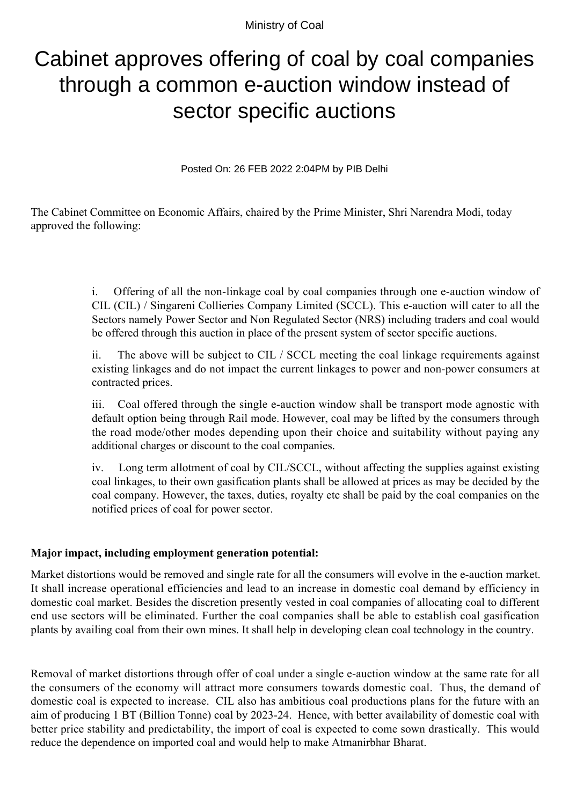Ministry of Coal

## Cabinet approves offering of coal by coal companies through a common e-auction window instead of sector specific auctions

Posted On: 26 FEB 2022 2:04PM by PIB Delhi

The Cabinet Committee on Economic Affairs, chaired by the Prime Minister, Shri Narendra Modi, today approved the following:

> i. Offering of all the non-linkage coal by coal companies through one e-auction window of CIL (CIL) / Singareni Collieries Company Limited (SCCL). This e-auction will cater to all the Sectors namely Power Sector and Non Regulated Sector (NRS) including traders and coal would be offered through this auction in place of the present system of sector specific auctions.

> ii. The above will be subject to CIL / SCCL meeting the coal linkage requirements against existing linkages and do not impact the current linkages to power and non-power consumers at contracted prices.

> iii. Coal offered through the single e-auction window shall be transport mode agnostic with default option being through Rail mode. However, coal may be lifted by the consumers through the road mode/other modes depending upon their choice and suitability without paying any additional charges or discount to the coal companies.

> iv. Long term allotment of coal by CIL/SCCL, without affecting the supplies against existing coal linkages, to their own gasification plants shall be allowed at prices as may be decided by the coal company. However, the taxes, duties, royalty etc shall be paid by the coal companies on the notified prices of coal for power sector.

## **Major impact, including employment generation potential:**

Market distortions would be removed and single rate for all the consumers will evolve in the e-auction market. It shall increase operational efficiencies and lead to an increase in domestic coal demand by efficiency in domestic coal market. Besides the discretion presently vested in coal companies of allocating coal to different end use sectors will be eliminated. Further the coal companies shall be able to establish coal gasification plants by availing coal from their own mines. It shall help in developing clean coal technology in the country.

Removal of market distortions through offer of coal under a single e-auction window at the same rate for all the consumers of the economy will attract more consumers towards domestic coal. Thus, the demand of domestic coal is expected to increase. CIL also has ambitious coal productions plans for the future with an aim of producing 1 BT (Billion Tonne) coal by 2023-24. Hence, with better availability of domestic coal with better price stability and predictability, the import of coal is expected to come sown drastically. This would reduce the dependence on imported coal and would help to make Atmanirbhar Bharat.